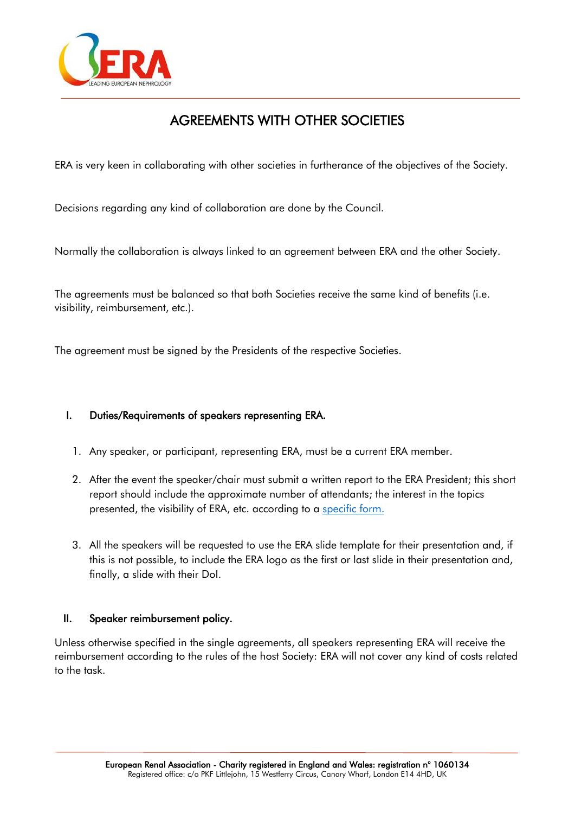

# AGREEMENTS WITH OTHER SOCIETIES

ERA is very keen in collaborating with other societies in furtherance of the objectives of the Society.

Decisions regarding any kind of collaboration are done by the Council.

Normally the collaboration is always linked to an agreement between ERA and the other Society.

The agreements must be balanced so that both Societies receive the same kind of benefits (i.e. visibility, reimbursement, etc.).

The agreement must be signed by the Presidents of the respective Societies.

#### I. Duties/Requirements of speakers representing ERA.

- 1. Any speaker, or participant, representing ERA, must be a current ERA member.
- 2. After the event the speaker/chair must submit a written report to the ERA President; this short report should include the approximate number of attendants; the interest in the topics presented, the visibility of ERA, etc. according to a [specific form.](https://www.era-edta.org/en/wp-content/uploads/2021/09/Ambassador_Program_Highlights_Feedback_Form_NEW.docx)
- 3. All the speakers will be requested to use the ERA slide template for their presentation and, if this is not possible, to include the ERA logo as the first or last slide in their presentation and, finally, a slide with their DoI.

#### II. Speaker reimbursement policy.

Unless otherwise specified in the single agreements, all speakers representing ERA will receive the reimbursement according to the rules of the host Society: ERA will not cover any kind of costs related to the task.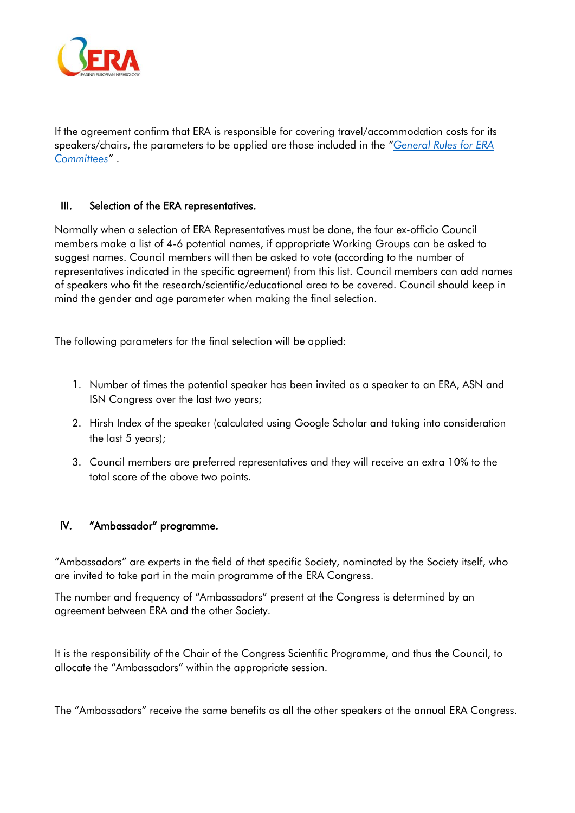

If the agreement confirm that ERA is responsible for covering travel/accommodation costs for its speakers/chairs, the parameters to be applied are those included in the *"[General Rules for ERA](https://www.era-online.org/en/wp-content/uploads/2021/10/GENERAL-RULES-FOR-ERA-COMMITTEES_NEW.pdf) [Committees](https://www.era-online.org/en/wp-content/uploads/2021/10/GENERAL-RULES-FOR-ERA-COMMITTEES_NEW.pdf)"* .

#### III. Selection of the ERA representatives.

Normally when a selection of ERA Representatives must be done, the four ex-officio Council members make a list of 4-6 potential names, if appropriate Working Groups can be asked to suggest names. Council members will then be asked to vote (according to the number of representatives indicated in the specific agreement) from this list. Council members can add names of speakers who fit the research/scientific/educational area to be covered. Council should keep in mind the gender and age parameter when making the final selection.

The following parameters for the final selection will be applied:

- 1. Number of times the potential speaker has been invited as a speaker to an ERA, ASN and ISN Congress over the last two years;
- 2. Hirsh Index of the speaker (calculated using Google Scholar and taking into consideration the last 5 years);
- 3. Council members are preferred representatives and they will receive an extra 10% to the total score of the above two points.

### IV. "Ambassador" programme.

"Ambassadors" are experts in the field of that specific Society, nominated by the Society itself, who are invited to take part in the main programme of the ERA Congress.

The number and frequency of "Ambassadors" present at the Congress is determined by an agreement between ERA and the other Society.

It is the responsibility of the Chair of the Congress Scientific Programme, and thus the Council, to allocate the "Ambassadors" within the appropriate session.

The "Ambassadors" receive the same benefits as all the other speakers at the annual ERA Congress.